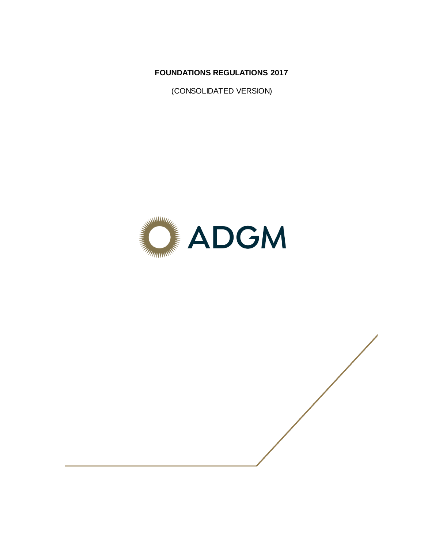**FOUNDATIONS REGULATIONS 2017**

(CONSOLIDATED VERSION)



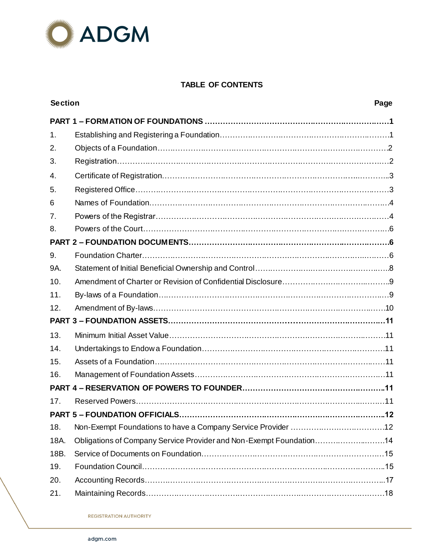

# **TABLE OF CONTENTS**

| <b>Section</b> |                                                                     | Page |
|----------------|---------------------------------------------------------------------|------|
|                |                                                                     |      |
| $\mathbf{1}$ . |                                                                     |      |
| 2.             |                                                                     |      |
| 3.             |                                                                     |      |
| 4.             |                                                                     |      |
| 5.             |                                                                     |      |
| 6              |                                                                     |      |
| 7 <sub>1</sub> |                                                                     |      |
| 8.             |                                                                     |      |
|                |                                                                     |      |
| 9.             |                                                                     |      |
| 9A.            |                                                                     |      |
| 10.            |                                                                     |      |
| 11.            |                                                                     |      |
| 12.            |                                                                     |      |
|                |                                                                     |      |
| 13.            |                                                                     |      |
| 14.            |                                                                     |      |
| 15.            |                                                                     |      |
| 16.            |                                                                     |      |
|                |                                                                     |      |
| 17.            |                                                                     |      |
|                |                                                                     |      |
| 18.            |                                                                     |      |
| 18A.           | Obligations of Company Service Provider and Non-Exempt Foundation14 |      |
| 18B.           |                                                                     |      |
| 19.            |                                                                     |      |
| 20.            |                                                                     |      |
| 21.            |                                                                     |      |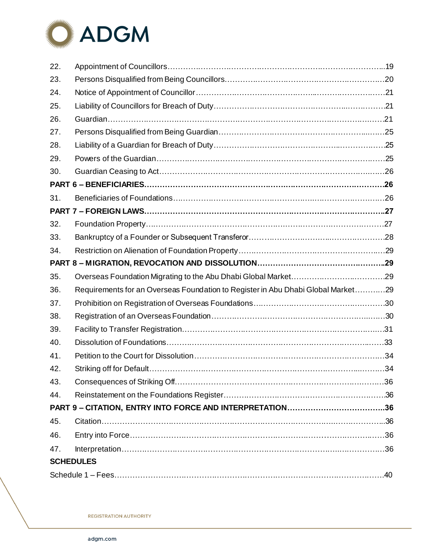

| 22. |                                                                                  |  |
|-----|----------------------------------------------------------------------------------|--|
|     |                                                                                  |  |
| 23. |                                                                                  |  |
| 24. |                                                                                  |  |
| 25. |                                                                                  |  |
| 26. |                                                                                  |  |
| 27. |                                                                                  |  |
| 28. |                                                                                  |  |
| 29. |                                                                                  |  |
| 30. |                                                                                  |  |
|     |                                                                                  |  |
| 31. |                                                                                  |  |
|     |                                                                                  |  |
| 32. |                                                                                  |  |
| 33. |                                                                                  |  |
| 34. |                                                                                  |  |
|     |                                                                                  |  |
| 35. |                                                                                  |  |
| 36. | Requirements for an Overseas Foundation to Register in Abu Dhabi Global Market29 |  |
| 37. |                                                                                  |  |
|     |                                                                                  |  |
| 38. |                                                                                  |  |
| 39. |                                                                                  |  |
| 40. |                                                                                  |  |
| 41. |                                                                                  |  |
| 42. |                                                                                  |  |
| 43. |                                                                                  |  |
| 44. |                                                                                  |  |
|     |                                                                                  |  |
| 45. |                                                                                  |  |
| 46. |                                                                                  |  |
| 47. |                                                                                  |  |
|     | <b>SCHEDULES</b>                                                                 |  |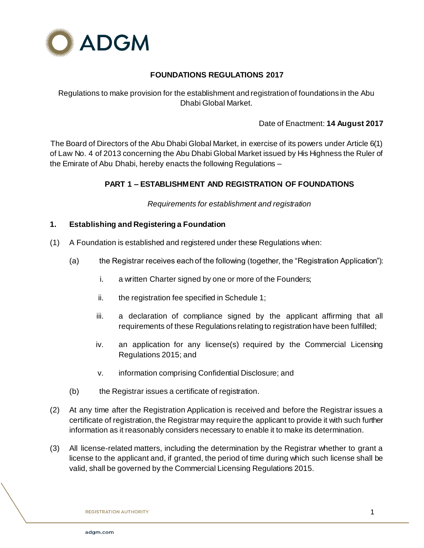

# **FOUNDATIONS REGULATIONS 2017**

Regulations to make provision for the establishment and registration of foundations in the Abu Dhabi Global Market.

# Date of Enactment: **14 August 2017**

The Board of Directors of the Abu Dhabi Global Market, in exercise of its powers under Article 6(1) of Law No. 4 of 2013 concerning the Abu Dhabi Global Market issued by His Highness the Ruler of the Emirate of Abu Dhabi, hereby enacts the following Regulations –

# **PART 1 – ESTABLISHMENT AND REGISTRATION OF FOUNDATIONS**

*Requirements for establishment and registration*

# **1. Establishing and Registering a Foundation**

- (1) A Foundation is established and registered under these Regulations when:
	- (a) the Registrar receives each of the following (together, the "Registration Application"):
		- i. a written Charter signed by one or more of the Founders;
		- ii. the registration fee specified in Schedule 1;
		- iii. a declaration of compliance signed by the applicant affirming that all requirements of these Regulations relating to registration have been fulfilled;
		- iv. an application for any license(s) required by the Commercial Licensing Regulations 2015; and
		- v. information comprising Confidential Disclosure; and
	- (b) the Registrar issues a certificate of registration.
- (2) At any time after the Registration Application is received and before the Registrar issues a certificate of registration, the Registrar may require the applicant to provide it with such further information as it reasonably considers necessary to enable it to make its determination.
- (3) All license-related matters, including the determination by the Registrar whether to grant a license to the applicant and, if granted, the period of time during which such license shall be valid, shall be governed by the Commercial Licensing Regulations 2015.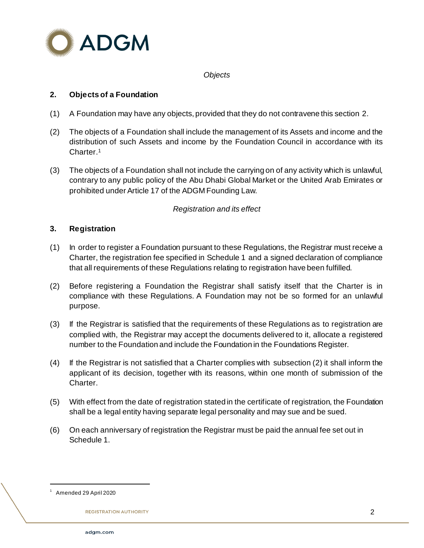

### *Objects*

# **2. Objects of a Foundation**

- (1) A Foundation may have any objects, provided that they do not contravene this section 2.
- (2) The objects of a Foundation shall include the management of its Assets and income and the distribution of such Assets and income by the Foundation Council in accordance with its Charter. 1
- (3) The objects of a Foundation shall not include the carrying on of any activity which is unlawful, contrary to any public policy of the Abu Dhabi Global Market or the United Arab Emirates or prohibited under Article 17 of the ADGM Founding Law.

# *Registration and its effect*

### **3. Registration**

- (1) In order to register a Foundation pursuant to these Regulations, the Registrar must receive a Charter, the registration fee specified in Schedule 1 and a signed declaration of compliance that all requirements of these Regulations relating to registration have been fulfilled.
- (2) Before registering a Foundation the Registrar shall satisfy itself that the Charter is in compliance with these Regulations. A Foundation may not be so formed for an unlawful purpose.
- (3) If the Registrar is satisfied that the requirements of these Regulations as to registration are complied with, the Registrar may accept the documents delivered to it, allocate a registered number to the Foundation and include the Foundation in the Foundations Register.
- (4) If the Registrar is not satisfied that a Charter complies with subsection (2) it shall inform the applicant of its decision, together with its reasons, within one month of submission of the Charter.
- (5) With effect from the date of registration stated in the certificate of registration, the Foundation shall be a legal entity having separate legal personality and may sue and be sued.
- (6) On each anniversary of registration the Registrar must be paid the annual fee set out in Schedule 1.

<sup>1</sup> Amended 29 April 2020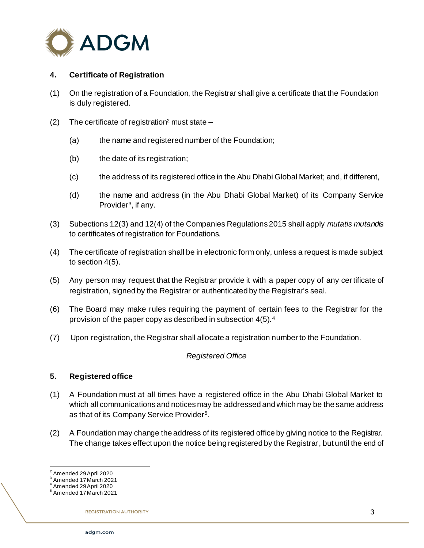

# **4. Certificate of Registration**

- (1) On the registration of a Foundation, the Registrar shall give a certificate that the Foundation is duly registered.
- (2) The certificate of registration<sup>2</sup> must state  $-$ 
	- (a) the name and registered number of the Foundation;
	- (b) the date of its registration;
	- (c) the address of its registered office in the Abu Dhabi Global Market; and, if different,
	- (d) the name and address (in the Abu Dhabi Global Market) of its Company Service Provider<sup>3</sup>, if any.
- (3) Subections 12(3) and 12(4) of the Companies Regulations 2015 shall apply *mutatis mutandis* to certificates of registration for Foundations.
- (4) The certificate of registration shall be in electronic form only, unless a request is made subject to section 4(5).
- (5) Any person may request that the Registrar provide it with a paper copy of any certificate of registration, signed by the Registrar or authenticated by the Registrar's seal.
- (6) The Board may make rules requiring the payment of certain fees to the Registrar for the provision of the paper copy as described in subsection 4(5).<sup>4</sup>
- (7) Upon registration, the Registrar shall allocate a registration number to the Foundation.

### *Registered Office*

### **5. Registered office**

- (1) A Foundation must at all times have a registered office in the Abu Dhabi Global Market to which all communications and notices may be addressed and which may be the same address as that of its Company Service Provider<sup>5</sup>.
- (2) A Foundation may change the address of its registered office by giving notice to the Registrar. The change takes effect upon the notice being registered by the Registrar, but until the end of

 2 Amended 29 April 2020

<sup>3</sup> Amended 17 March 2021

<sup>4</sup> Amended 29 April 2020

<sup>5</sup> Amended 17 March 2021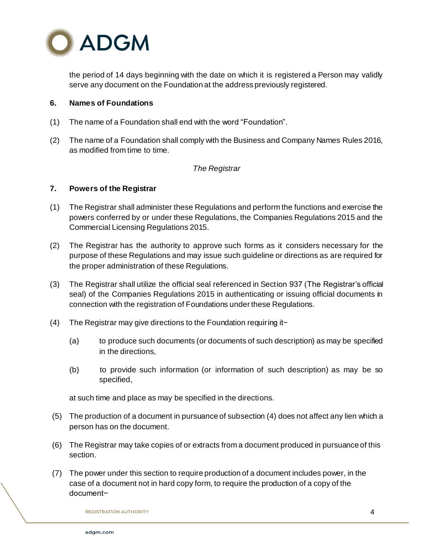

the period of 14 days beginning with the date on which it is registered a Person may validly serve any document on the Foundation at the address previously registered.

### **6. Names of Foundations**

- (1) The name of a Foundation shall end with the word "Foundation".
- (2) The name of a Foundation shall comply with the Business and Company Names Rules 2016, as modified from time to time.

#### *The Registrar*

#### **7. Powers of the Registrar**

- (1) The Registrar shall administer these Regulations and perform the functions and exercise the powers conferred by or under these Regulations, the Companies Regulations 2015 and the Commercial Licensing Regulations 2015.
- (2) The Registrar has the authority to approve such forms as it considers necessary for the purpose of these Regulations and may issue such guideline or directions as are required for the proper administration of these Regulations.
- (3) The Registrar shall utilize the official seal referenced in Section 937 (The Registrar's official seal) of the Companies Regulations 2015 in authenticating or issuing official documents in connection with the registration of Foundations under these Regulations.
- (4) The Registrar may give directions to the Foundation requiring it−
	- (a) to produce such documents (or documents of such description) as may be specified in the directions,
	- (b) to provide such information (or information of such description) as may be so specified,

at such time and place as may be specified in the directions.

- (5) The production of a document in pursuance of subsection (4) does not affect any lien which a person has on the document.
- (6) The Registrar may take copies of or extracts from a document produced in pursuance of this section.
- (7) The power under this section to require production of a document includes power, in the case of a document not in hard copy form, to require the production of a copy of the document−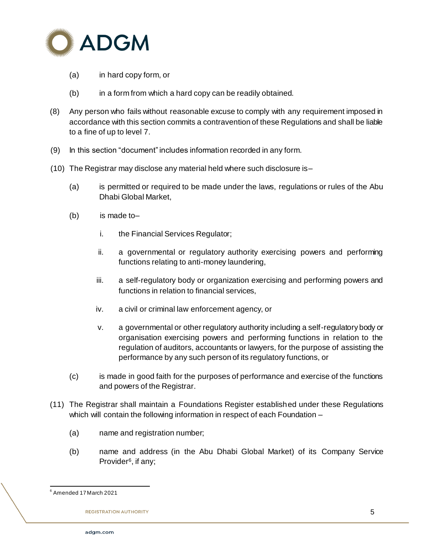

- (a) in hard copy form, or
- (b) in a form from which a hard copy can be readily obtained.
- (8) Any person who fails without reasonable excuse to comply with any requirement imposed in accordance with this section commits a contravention of these Regulations and shall be liable to a fine of up to level 7.
- (9) In this section "document" includes information recorded in any form.
- (10) The Registrar may disclose any material held where such disclosure is–
	- (a) is permitted or required to be made under the laws, regulations or rules of the Abu Dhabi Global Market,
	- (b) is made to–
		- i. the Financial Services Regulator;
		- ii. a governmental or regulatory authority exercising powers and performing functions relating to anti-money laundering,
		- iii. a self-regulatory body or organization exercising and performing powers and functions in relation to financial services,
		- iv. a civil or criminal law enforcement agency, or
		- v. a governmental or other regulatory authority including a self-regulatory body or organisation exercising powers and performing functions in relation to the regulation of auditors, accountants or lawyers, for the purpose of assisting the performance by any such person of its regulatory functions, or
	- (c) is made in good faith for the purposes of performance and exercise of the functions and powers of the Registrar.
- (11) The Registrar shall maintain a Foundations Register established under these Regulations which will contain the following information in respect of each Foundation -
	- (a) name and registration number;
	- (b) name and address (in the Abu Dhabi Global Market) of its Company Service Provider<sup>6</sup>, if any;

l  $^6$  Amended 17 March 2021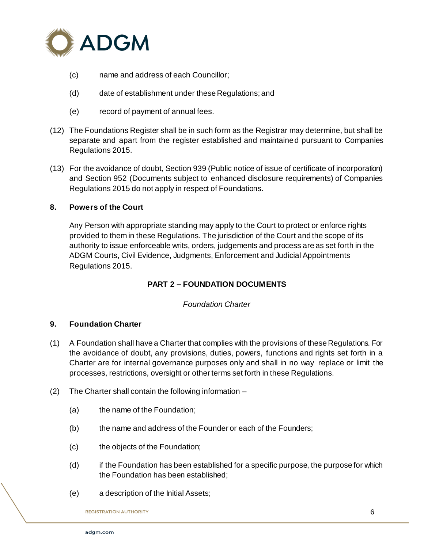

- (c) name and address of each Councillor;
- (d) date of establishment under these Regulations; and
- (e) record of payment of annual fees.
- (12) The Foundations Register shall be in such form as the Registrar may determine, but shall be separate and apart from the register established and maintained pursuant to Companies Regulations 2015.
- (13) For the avoidance of doubt, Section 939 (Public notice of issue of certificate of incorporation) and Section 952 (Documents subject to enhanced disclosure requirements) of Companies Regulations 2015 do not apply in respect of Foundations.

### **8. Powers of the Court**

Any Person with appropriate standing may apply to the Court to protect or enforce rights provided to them in these Regulations. The jurisdiction of the Court and the scope of its authority to issue enforceable writs, orders, judgements and process are as set forth in the ADGM Courts, Civil Evidence, Judgments, Enforcement and Judicial Appointments Regulations 2015.

# **PART 2 – FOUNDATION DOCUMENTS**

### *Foundation Charter*

# **9. Foundation Charter**

- (1) A Foundation shall have a Charter that complies with the provisions of these Regulations. For the avoidance of doubt, any provisions, duties, powers, functions and rights set forth in a Charter are for internal governance purposes only and shall in no way replace or limit the processes, restrictions, oversight or other terms set forth in these Regulations.
- (2) The Charter shall contain the following information
	- (a) the name of the Foundation;
	- (b) the name and address of the Founder or each of the Founders;
	- (c) the objects of the Foundation;
	- (d) if the Foundation has been established for a specific purpose, the purpose for which the Foundation has been established;
	- (e) a description of the Initial Assets;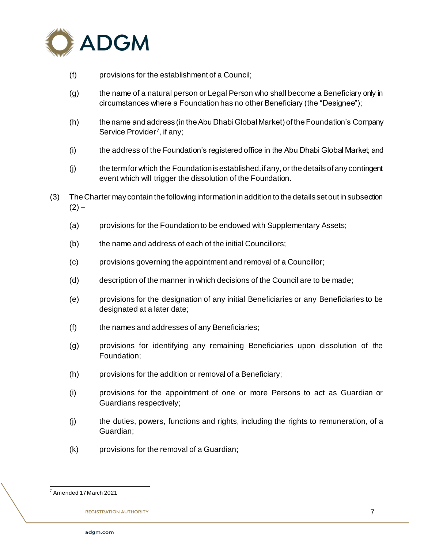

- (f) provisions for the establishment of a Council;
- (g) the name of a natural person or Legal Person who shall become a Beneficiary only in circumstances where a Foundation has no other Beneficiary (the "Designee");
- (h) the name and address (in the Abu Dhabi Global Market) of the Foundation's Company Service Provider<sup>7</sup>, if any;
- (i) the address of the Foundation's registered office in the Abu Dhabi Global Market; and
- (j) the term for which the Foundation is established, if any, or the details of any contingent event which will trigger the dissolution of the Foundation.
- (3) The Charter may contain the following information in addition to the details set out in subsection  $(2) -$ 
	- (a) provisions for the Foundation to be endowed with Supplementary Assets;
	- (b) the name and address of each of the initial Councillors;
	- (c) provisions governing the appointment and removal of a Councillor;
	- (d) description of the manner in which decisions of the Council are to be made;
	- (e) provisions for the designation of any initial Beneficiaries or any Beneficiaries to be designated at a later date;
	- (f) the names and addresses of any Beneficiaries;
	- (g) provisions for identifying any remaining Beneficiaries upon dissolution of the Foundation;
	- (h) provisions for the addition or removal of a Beneficiary;
	- (i) provisions for the appointment of one or more Persons to act as Guardian or Guardians respectively;
	- (j) the duties, powers, functions and rights, including the rights to remuneration, of a Guardian;
	- (k) provisions for the removal of a Guardian;

l  $7$  Amended 17 March 2021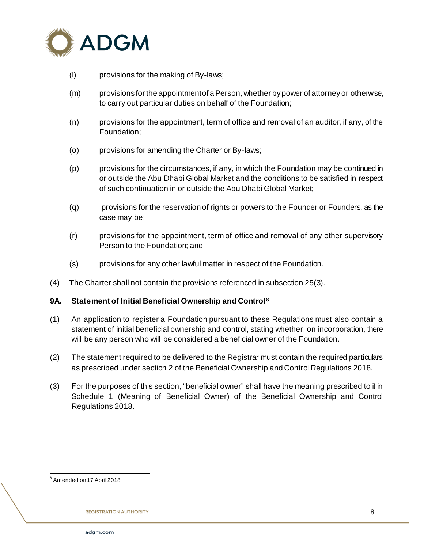

- (l) provisions for the making of By-laws;
- (m) provisions for the appointment of a Person, whether by power of attorney or otherwise, to carry out particular duties on behalf of the Foundation;
- (n) provisions for the appointment, term of office and removal of an auditor, if any, of the Foundation;
- (o) provisions for amending the Charter or By-laws;
- (p) provisions for the circumstances, if any, in which the Foundation may be continued in or outside the Abu Dhabi Global Market and the conditions to be satisfied in respect of such continuation in or outside the Abu Dhabi Global Market;
- (q) provisions for the reservation of rights or powers to the Founder or Founders, as the case may be;
- (r) provisions for the appointment, term of office and removal of any other supervisory Person to the Foundation; and
- (s) provisions for any other lawful matter in respect of the Foundation.
- (4) The Charter shall not contain the provisions referenced in subsection 25(3).

### **9A. Statement of Initial Beneficial Ownership and Control<sup>8</sup>**

- (1) An application to register a Foundation pursuant to these Regulations must also contain a statement of initial beneficial ownership and control, stating whether, on incorporation, there will be any person who will be considered a beneficial owner of the Foundation.
- (2) The statement required to be delivered to the Registrar must contain the required particulars as prescribed under section 2 of the Beneficial Ownership and Control Regulations 2018.
- (3) For the purposes of this section, "beneficial owner" shall have the meaning prescribed to it in Schedule 1 (Meaning of Beneficial Owner) of the Beneficial Ownership and Control Regulations 2018.

l <sup>8</sup> Amended on 17 April 2018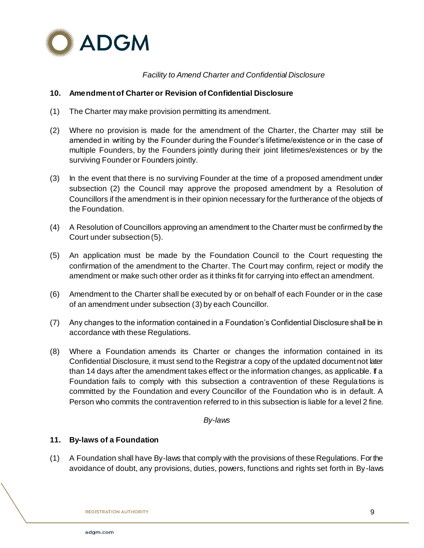

*Facility to Amend Charter and Confidential Disclosure*

### **10. Amendment of Charter or Revision of Confidential Disclosure**

- (1) The Charter may make provision permitting its amendment.
- (2) Where no provision is made for the amendment of the Charter, the Charter may still be amended in writing by the Founder during the Founder's lifetime/existence or in the case of multiple Founders, by the Founders jointly during their joint lifetimes/existences or by the surviving Founder or Founders jointly.
- (3) In the event that there is no surviving Founder at the time of a proposed amendment under subsection (2) the Council may approve the proposed amendment by a Resolution of Councillors if the amendment is in their opinion necessary for the furtherance of the objects of the Foundation.
- (4) A Resolution of Councillors approving an amendment to the Charter must be confirmed by the Court under subsection (5).
- (5) An application must be made by the Foundation Council to the Court requesting the confirmation of the amendment to the Charter. The Court may confirm, reject or modify the amendment or make such other order as it thinks fit for carrying into effect an amendment.
- (6) Amendment to the Charter shall be executed by or on behalf of each Founder or in the case of an amendment under subsection (3) by each Councillor.
- (7) Any changes to the information contained in a Foundation's Confidential Disclosure shall be in accordance with these Regulations.
- (8) Where a Foundation amends its Charter or changes the information contained in its Confidential Disclosure, it must send to the Registrar a copy of the updated document not later than 14 days after the amendment takes effect or the information changes, as applicable. If a Foundation fails to comply with this subsection a contravention of these Regulations is committed by the Foundation and every Councillor of the Foundation who is in default. A Person who commits the contravention referred to in this subsection is liable for a level 2 fine.

*By-laws*

### **11. By-laws of a Foundation**

(1) A Foundation shall have By-laws that comply with the provisions of these Regulations. For the avoidance of doubt, any provisions, duties, powers, functions and rights set forth in By-laws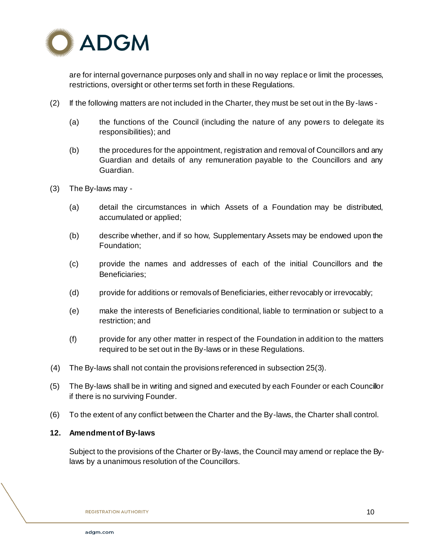

are for internal governance purposes only and shall in no way replace or limit the processes, restrictions, oversight or other terms set forth in these Regulations.

- (2) If the following matters are not included in the Charter, they must be set out in the By-laws
	- (a) the functions of the Council (including the nature of any powers to delegate its responsibilities); and
	- (b) the procedures for the appointment, registration and removal of Councillors and any Guardian and details of any remuneration payable to the Councillors and any Guardian.
- (3) The By-laws may
	- (a) detail the circumstances in which Assets of a Foundation may be distributed, accumulated or applied;
	- (b) describe whether, and if so how, Supplementary Assets may be endowed upon the Foundation;
	- (c) provide the names and addresses of each of the initial Councillors and the Beneficiaries;
	- (d) provide for additions or removals of Beneficiaries, either revocably or irrevocably;
	- (e) make the interests of Beneficiaries conditional, liable to termination or subject to a restriction; and
	- (f) provide for any other matter in respect of the Foundation in addition to the matters required to be set out in the By-laws or in these Regulations.
- (4) The By-laws shall not contain the provisions referenced in subsection 25(3).
- (5) The By-laws shall be in writing and signed and executed by each Founder or each Councillor if there is no surviving Founder.
- (6) To the extent of any conflict between the Charter and the By-laws, the Charter shall control.

#### **12. Amendment of By-laws**

Subject to the provisions of the Charter or By-laws, the Council may amend or replace the Bylaws by a unanimous resolution of the Councillors.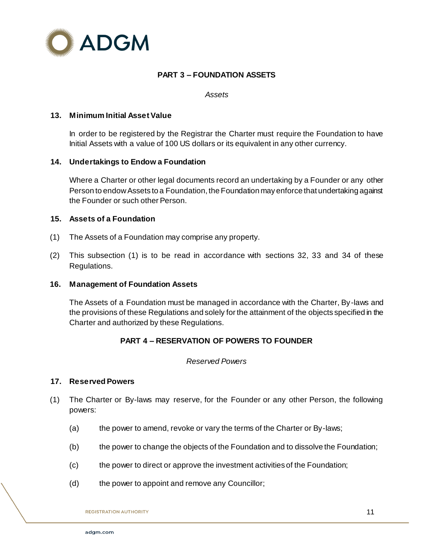

# **PART 3 – FOUNDATION ASSETS**

*Assets*

#### **13. Minimum Initial Asset Value**

In order to be registered by the Registrar the Charter must require the Foundation to have Initial Assets with a value of 100 US dollars or its equivalent in any other currency.

#### **14. Undertakings to Endow a Foundation**

Where a Charter or other legal documents record an undertaking by a Founder or any other Person to endow Assets to a Foundation, the Foundation may enforce that undertaking against the Founder or such other Person.

#### **15. Assets of a Foundation**

- (1) The Assets of a Foundation may comprise any property.
- (2) This subsection (1) is to be read in accordance with sections 32, 33 and 34 of these Regulations.

#### **16. Management of Foundation Assets**

The Assets of a Foundation must be managed in accordance with the Charter, By-laws and the provisions of these Regulations and solely for the attainment of the objects specified in the Charter and authorized by these Regulations.

### **PART 4 – RESERVATION OF POWERS TO FOUNDER**

#### *Reserved Powers*

#### **17. Reserved Powers**

- (1) The Charter or By-laws may reserve, for the Founder or any other Person, the following powers:
	- (a) the power to amend, revoke or vary the terms of the Charter or By-laws;
	- (b) the power to change the objects of the Foundation and to dissolve the Foundation;
	- (c) the power to direct or approve the investment activities of the Foundation;
	- (d) the power to appoint and remove any Councillor;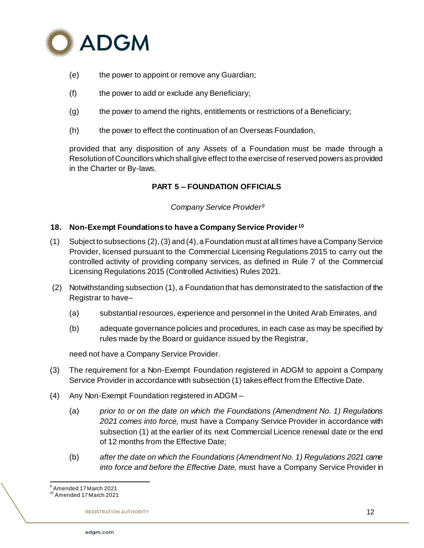

- (e) the power to appoint or remove any Guardian;
- (f) the power to add or exclude any Beneficiary;
- (g) the power to amend the rights, entitlements or restrictions of a Beneficiary;
- (h) the power to effect the continuation of an Overseas Foundation,

provided that any disposition of any Assets of a Foundation must be made through a Resolution of Councillors which shall give effect to the exercise of reserved powers as provided in the Charter or By-laws.

# **PART 5 – FOUNDATION OFFICIALS**

*Company Service Provider<sup>9</sup>*

### **18. Non-Exempt Foundations to have a Company Service Provider <sup>10</sup>**

- (1) Subject to subsections (2), (3) and (4), a Foundation must at all times have a Company Service Provider, licensed pursuant to the Commercial Licensing Regulations 2015 to carry out the controlled activity of providing company services, as defined in Rule 7 of the Commercial Licensing Regulations 2015 (Controlled Activities) Rules 2021.
- (2) Notwithstanding subsection (1), a Foundation that has demonstrated to the satisfaction of the Registrar to have–
	- (a) substantial resources, experience and personnel in the United Arab Emirates, and
	- (b) adequate governance policies and procedures, in each case as may be specified by rules made by the Board or guidance issued by the Registrar,

need not have a Company Service Provider.

- (3) The requirement for a Non-Exempt Foundation registered in ADGM to appoint a Company Service Provider in accordance with subsection (1) takes effect from the Effective Date.
- (4) Any Non-Exempt Foundation registered in ADGM
	- (a) *prior to or on the date on which the Foundations (Amendment No. 1) Regulations 2021 comes into force,* must have a Company Service Provider in accordance with subsection (1) at the earlier of its next Commercial Licence renewal date or the end of 12 months from the Effective Date;
	- (b) *after the date on which the Foundations (Amendment No. 1) Regulations 2021 came into force and before the Effective Date,* must have a Company Service Provider in

l Amended 17 March 2021

 $10^{10}$  Amended 17 March 2021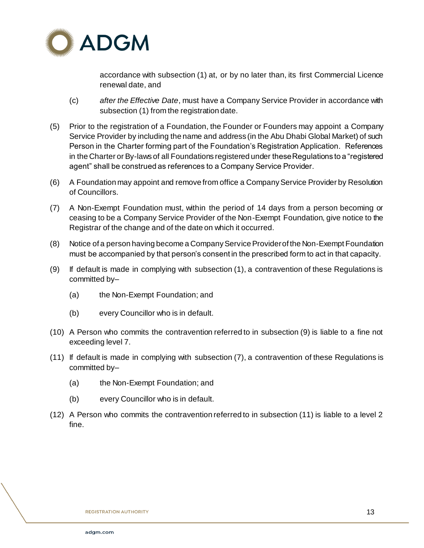

accordance with subsection (1) at, or by no later than, its first Commercial Licence renewal date, and

- (c) *after the Effective Date*, must have a Company Service Provider in accordance with subsection (1) from the registration date.
- (5) Prior to the registration of a Foundation, the Founder or Founders may appoint a Company Service Provider by including the name and address (in the Abu Dhabi Global Market) of such Person in the Charter forming part of the Foundation's Registration Application. References in the Charter or By-laws of all Foundations registered under these Regulations to a "registered agent" shall be construed as references to a Company Service Provider.
- (6) A Foundation may appoint and remove from office a Company Service Provider by Resolution of Councillors.
- (7) A Non-Exempt Foundation must, within the period of 14 days from a person becoming or ceasing to be a Company Service Provider of the Non-Exempt Foundation, give notice to the Registrar of the change and of the date on which it occurred.
- (8) Notice of a person having become a Company Service Provider of the Non-Exempt Foundation must be accompanied by that person's consent in the prescribed form to act in that capacity.
- (9) If default is made in complying with subsection (1), a contravention of these Regulations is committed by–
	- (a) the Non-Exempt Foundation; and
	- (b) every Councillor who is in default.
- (10) A Person who commits the contravention referred to in subsection (9) is liable to a fine not exceeding level 7.
- (11) If default is made in complying with subsection (7), a contravention of these Regulations is committed by–
	- (a) the Non-Exempt Foundation; and
	- (b) every Councillor who is in default.
- (12) A Person who commits the contravention referred to in subsection (11) is liable to a level 2 fine.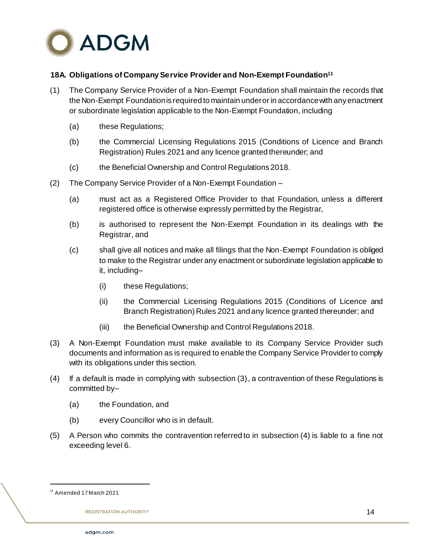

# **18A. Obligations of Company Service Provider and Non-Exempt Foundation<sup>11</sup>**

- (1) The Company Service Provider of a Non-Exempt Foundation shall maintain the records that the Non-Exempt Foundation is required to maintain under or in accordance with any enactment or subordinate legislation applicable to the Non-Exempt Foundation, including
	- (a) these Regulations;
	- (b) the Commercial Licensing Regulations 2015 (Conditions of Licence and Branch Registration) Rules 2021 and any licence granted thereunder; and
	- (c) the Beneficial Ownership and Control Regulations 2018.
- (2) The Company Service Provider of a Non-Exempt Foundation
	- (a) must act as a Registered Office Provider to that Foundation, unless a different registered office is otherwise expressly permitted by the Registrar,
	- (b) is authorised to represent the Non-Exempt Foundation in its dealings with the Registrar, and
	- (c) shall give all notices and make all filings that the Non-Exempt Foundation is obliged to make to the Registrar under any enactment or subordinate legislation applicable to it, including–
		- (i) these Regulations;
		- (ii) the Commercial Licensing Regulations 2015 (Conditions of Licence and Branch Registration) Rules 2021 and any licence granted thereunder; and
		- (iii) the Beneficial Ownership and Control Regulations 2018.
- (3) A Non-Exempt Foundation must make available to its Company Service Provider such documents and information as is required to enable the Company Service Provider to comply with its obligations under this section.
- (4) If a default is made in complying with subsection (3), a contravention of these Regulations is committed by–
	- (a) the Foundation, and
	- (b) every Councillor who is in default.
- (5) A Person who commits the contravention referred to in subsection (4) is liable to a fine not exceeding level 6.

<sup>11</sup> Amended 17 March 2021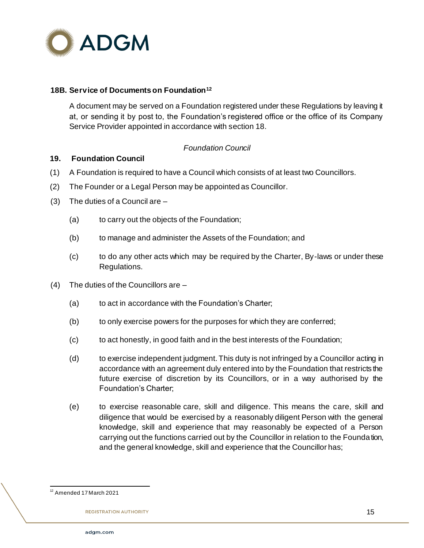

#### **18B. Service of Documents on Foundation<sup>12</sup>**

A document may be served on a Foundation registered under these Regulations by leaving it at, or sending it by post to, the Foundation's registered office or the office of its Company Service Provider appointed in accordance with section 18.

### *Foundation Council*

#### **19. Foundation Council**

- (1) A Foundation is required to have a Council which consists of at least two Councillors.
- (2) The Founder or a Legal Person may be appointed as Councillor.
- (3) The duties of a Council are
	- (a) to carry out the objects of the Foundation;
	- (b) to manage and administer the Assets of the Foundation; and
	- (c) to do any other acts which may be required by the Charter, By-laws or under these Regulations.
- (4) The duties of the Councillors are
	- (a) to act in accordance with the Foundation's Charter;
	- (b) to only exercise powers for the purposes for which they are conferred;
	- (c) to act honestly, in good faith and in the best interests of the Foundation;
	- (d) to exercise independent judgment. This duty is not infringed by a Councillor acting in accordance with an agreement duly entered into by the Foundation that restricts the future exercise of discretion by its Councillors, or in a way authorised by the Foundation's Charter;
	- (e) to exercise reasonable care, skill and diligence. This means the care, skill and diligence that would be exercised by a reasonably diligent Person with the general knowledge, skill and experience that may reasonably be expected of a Person carrying out the functions carried out by the Councillor in relation to the Foundation, and the general knowledge, skill and experience that the Councillor has;

l <sup>12</sup> Amended 17 March 2021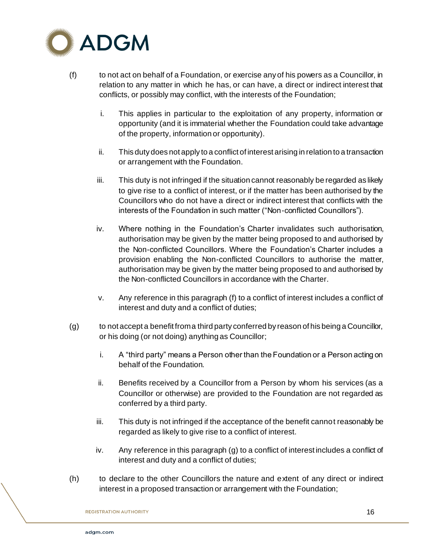

- (f) to not act on behalf of a Foundation, or exercise any of his powers as a Councillor, in relation to any matter in which he has, or can have, a direct or indirect interest that conflicts, or possibly may conflict, with the interests of the Foundation;
	- i. This applies in particular to the exploitation of any property, information or opportunity (and it is immaterial whether the Foundation could take advantage of the property, information or opportunity).
	- ii. This duty does not apply to a conflict of interest arising in relation to a transaction or arrangement with the Foundation.
	- iii. This duty is not infringed if the situation cannot reasonably be regarded as likely to give rise to a conflict of interest, or if the matter has been authorised by the Councillors who do not have a direct or indirect interest that conflicts with the interests of the Foundation in such matter ("Non-conflicted Councillors").
	- iv. Where nothing in the Foundation's Charter invalidates such authorisation, authorisation may be given by the matter being proposed to and authorised by the Non-conflicted Councillors. Where the Foundation's Charter includes a provision enabling the Non-conflicted Councillors to authorise the matter, authorisation may be given by the matter being proposed to and authorised by the Non-conflicted Councillors in accordance with the Charter.
	- v. Any reference in this paragraph (f) to a conflict of interest includes a conflict of interest and duty and a conflict of duties;
- (g) to not accept a benefit from a third party conferred by reason of his being a Councillor, or his doing (or not doing) anything as Councillor;
	- i. A "third party" means a Person other than the Foundation or a Person acting on behalf of the Foundation.
	- ii. Benefits received by a Councillor from a Person by whom his services (as a Councillor or otherwise) are provided to the Foundation are not regarded as conferred by a third party.
	- iii. This duty is not infringed if the acceptance of the benefit cannot reasonably be regarded as likely to give rise to a conflict of interest.
	- iv. Any reference in this paragraph (g) to a conflict of interest includes a conflict of interest and duty and a conflict of duties;
- (h) to declare to the other Councillors the nature and extent of any direct or indirect interest in a proposed transaction or arrangement with the Foundation;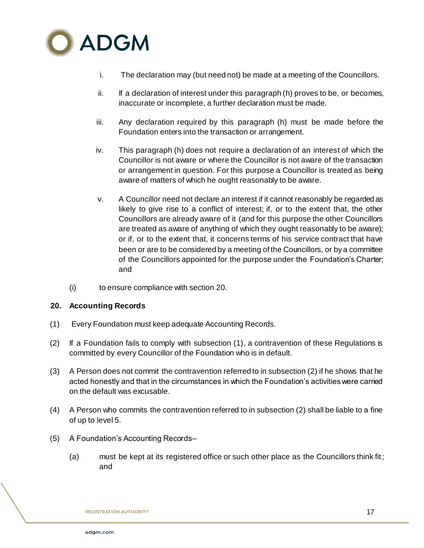

- i. The declaration may (but need not) be made at a meeting of the Councillors.
- ii. If a declaration of interest under this paragraph (h) proves to be, or becomes, inaccurate or incomplete, a further declaration must be made.
- iii. Any declaration required by this paragraph (h) must be made before the Foundation enters into the transaction or arrangement.
- iv. This paragraph (h) does not require a declaration of an interest of which the Councillor is not aware or where the Councillor is not aware of the transaction or arrangement in question. For this purpose a Councillor is treated as being aware of matters of which he ought reasonably to be aware.
- v. A Councillor need not declare an interest if it cannot reasonably be regarded as likely to give rise to a conflict of interest; if, or to the extent that, the other Councillors are already aware of it (and for this purpose the other Councillors are treated as aware of anything of which they ought reasonably to be aware); or if, or to the extent that, it concerns terms of his service contract that have been or are to be considered by a meeting of the Councillors, or by a committee of the Councillors appointed for the purpose under the Foundation's Charter; and
- (i) to ensure compliance with section 20.

### **20. Accounting Records**

- (1) Every Foundation must keep adequate Accounting Records.
- (2) If a Foundation fails to comply with subsection (1), a contravention of these Regulations is committed by every Councillor of the Foundation who is in default.
- (3) A Person does not commit the contravention referred to in subsection (2) if he shows that he acted honestly and that in the circumstances in which the Foundation's activities were carried on the default was excusable.
- (4) A Person who commits the contravention referred to in subsection (2) shall be liable to a fine of up to level 5.
- (5) A Foundation's Accounting Records–
	- (a) must be kept at its registered office or such other place as the Councillors think fit; and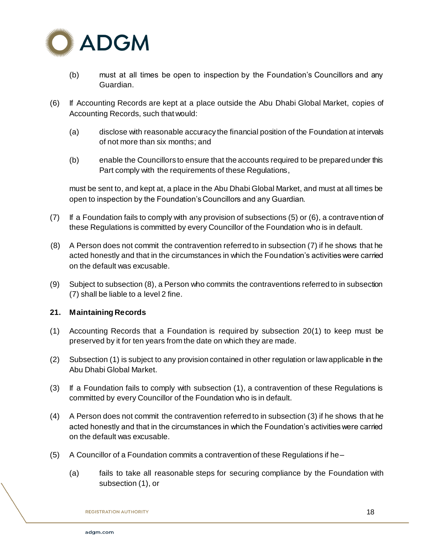

- (b) must at all times be open to inspection by the Foundation's Councillors and any Guardian.
- (6) If Accounting Records are kept at a place outside the Abu Dhabi Global Market, copies of Accounting Records, such that would:
	- (a) disclose with reasonable accuracy the financial position of the Foundation at intervals of not more than six months; and
	- (b) enable the Councillors to ensure that the accounts required to be prepared under this Part comply with the requirements of these Regulations,

must be sent to, and kept at, a place in the Abu Dhabi Global Market, and must at all times be open to inspection by the Foundation's Councillors and any Guardian.

- (7) If a Foundation fails to comply with any provision of subsections (5) or (6), a contravention of these Regulations is committed by every Councillor of the Foundation who is in default.
- (8) A Person does not commit the contravention referred to in subsection (7) if he shows that he acted honestly and that in the circumstances in which the Foundation's activities were carried on the default was excusable.
- (9) Subject to subsection (8), a Person who commits the contraventions referred to in subsection (7) shall be liable to a level 2 fine.

# **21. Maintaining Records**

- (1) Accounting Records that a Foundation is required by subsection 20(1) to keep must be preserved by it for ten years from the date on which they are made.
- (2) Subsection (1) is subject to any provision contained in other regulation or law applicable in the Abu Dhabi Global Market.
- (3) If a Foundation fails to comply with subsection (1), a contravention of these Regulations is committed by every Councillor of the Foundation who is in default.
- (4) A Person does not commit the contravention referred to in subsection (3) if he shows that he acted honestly and that in the circumstances in which the Foundation's activities were carried on the default was excusable.
- (5) A Councillor of a Foundation commits a contravention of these Regulations if he–
	- (a) fails to take all reasonable steps for securing compliance by the Foundation with subsection (1), or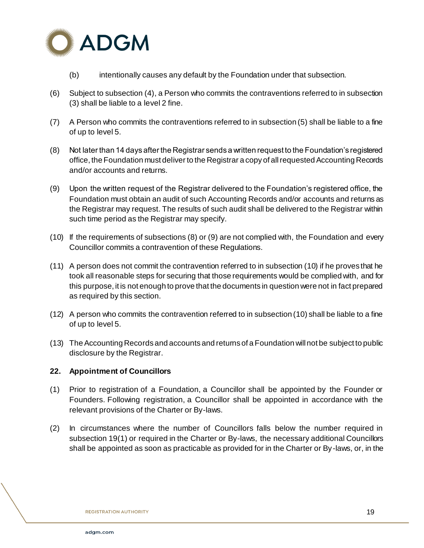

- (b) intentionally causes any default by the Foundation under that subsection.
- (6) Subject to subsection (4), a Person who commits the contraventions referred to in subsection (3) shall be liable to a level 2 fine.
- (7) A Person who commits the contraventions referred to in subsection (5) shall be liable to a fine of up to level 5.
- (8) Not later than 14 days after the Registrar sends a written request to the Foundation's registered office, the Foundation must deliver to the Registrar a copy of all requested Accounting Records and/or accounts and returns.
- (9) Upon the written request of the Registrar delivered to the Foundation's registered office, the Foundation must obtain an audit of such Accounting Records and/or accounts and returns as the Registrar may request. The results of such audit shall be delivered to the Registrar within such time period as the Registrar may specify.
- (10) If the requirements of subsections (8) or (9) are not complied with, the Foundation and every Councillor commits a contravention of these Regulations.
- (11) A person does not commit the contravention referred to in subsection (10) if he proves that he took all reasonable steps for securing that those requirements would be complied with, and for this purpose, it is not enough to prove that the documents in question were not in fact prepared as required by this section.
- (12) A person who commits the contravention referred to in subsection (10) shall be liable to a fine of up to level 5.
- (13) The Accounting Records and accounts and returns of a Foundation will not be subject to public disclosure by the Registrar.

### **22. Appointment of Councillors**

- (1) Prior to registration of a Foundation, a Councillor shall be appointed by the Founder or Founders. Following registration, a Councillor shall be appointed in accordance with the relevant provisions of the Charter or By-laws.
- (2) In circumstances where the number of Councillors falls below the number required in subsection 19(1) or required in the Charter or By-laws, the necessary additional Councillors shall be appointed as soon as practicable as provided for in the Charter or By-laws, or, in the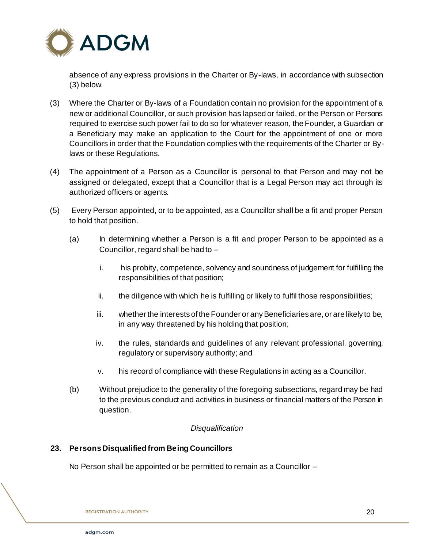

absence of any express provisions in the Charter or By-laws, in accordance with subsection (3) below.

- (3) Where the Charter or By-laws of a Foundation contain no provision for the appointment of a new or additional Councillor, or such provision has lapsed or failed, or the Person or Persons required to exercise such power fail to do so for whatever reason, the Founder, a Guardian or a Beneficiary may make an application to the Court for the appointment of one or more Councillors in order that the Foundation complies with the requirements of the Charter or Bylaws or these Regulations.
- (4) The appointment of a Person as a Councillor is personal to that Person and may not be assigned or delegated, except that a Councillor that is a Legal Person may act through its authorized officers or agents.
- (5) Every Person appointed, or to be appointed, as a Councillor shall be a fit and proper Person to hold that position.
	- (a) In determining whether a Person is a fit and proper Person to be appointed as a Councillor, regard shall be had to –
		- i. his probity, competence, solvency and soundness of judgement for fulfilling the responsibilities of that position;
		- ii. the diligence with which he is fulfilling or likely to fulfil those responsibilities;
		- iii. whether the interests of the Founder or any Beneficiaries are, or are likely to be, in any way threatened by his holding that position;
		- iv. the rules, standards and guidelines of any relevant professional, governing, regulatory or supervisory authority; and
		- v. his record of compliance with these Regulations in acting as a Councillor.
	- (b) Without prejudice to the generality of the foregoing subsections, regard may be had to the previous conduct and activities in business or financial matters of the Person in question.

# *Disqualification*

### **23. Persons Disqualified from Being Councillors**

No Person shall be appointed or be permitted to remain as a Councillor –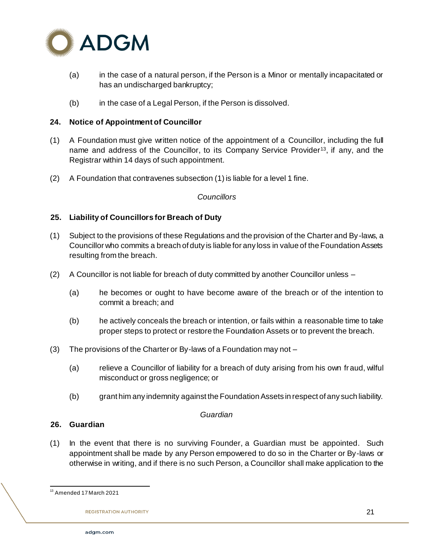

- (a) in the case of a natural person, if the Person is a Minor or mentally incapacitated or has an undischarged bankruptcy;
- (b) in the case of a Legal Person, if the Person is dissolved.

# **24. Notice of Appointment of Councillor**

- (1) A Foundation must give written notice of the appointment of a Councillor, including the full name and address of the Councillor, to its Company Service Provider13, if any, and the Registrar within 14 days of such appointment.
- (2) A Foundation that contravenes subsection (1) is liable for a level 1 fine.

### *Councillors*

### **25. Liability of Councillors for Breach of Duty**

- (1) Subject to the provisions of these Regulations and the provision of the Charter and By-laws, a Councillor who commits a breach of duty is liable for any loss in value of the Foundation Assets resulting from the breach.
- (2) A Councillor is not liable for breach of duty committed by another Councillor unless
	- (a) he becomes or ought to have become aware of the breach or of the intention to commit a breach; and
	- (b) he actively conceals the breach or intention, or fails within a reasonable time to take proper steps to protect or restore the Foundation Assets or to prevent the breach.
- (3) The provisions of the Charter or By-laws of a Foundation may not
	- (a) relieve a Councillor of liability for a breach of duty arising from his own fraud, wilful misconduct or gross negligence; or
	- (b) grant him any indemnity against the Foundation Assets in respect of any such liability.

#### *Guardian*

### **26. Guardian**

(1) In the event that there is no surviving Founder, a Guardian must be appointed. Such appointment shall be made by any Person empowered to do so in the Charter or By-laws or otherwise in writing, and if there is no such Person, a Councillor shall make application to the

l <sup>13</sup> Amended 17 March 2021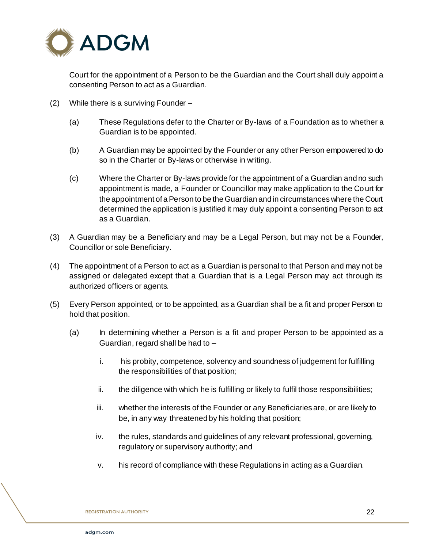

Court for the appointment of a Person to be the Guardian and the Court shall duly appoint a consenting Person to act as a Guardian.

- (2) While there is a surviving Founder
	- (a) These Regulations defer to the Charter or By-laws of a Foundation as to whether a Guardian is to be appointed.
	- (b) A Guardian may be appointed by the Founder or any other Person empowered to do so in the Charter or By-laws or otherwise in writing.
	- (c) Where the Charter or By-laws provide for the appointment of a Guardian and no such appointment is made, a Founder or Councillor may make application to the Court for the appointment of a Person to be the Guardian and in circumstances where the Court determined the application is justified it may duly appoint a consenting Person to act as a Guardian.
- (3) A Guardian may be a Beneficiary and may be a Legal Person, but may not be a Founder, Councillor or sole Beneficiary.
- (4) The appointment of a Person to act as a Guardian is personal to that Person and may not be assigned or delegated except that a Guardian that is a Legal Person may act through its authorized officers or agents.
- (5) Every Person appointed, or to be appointed, as a Guardian shall be a fit and proper Person to hold that position.
	- (a) In determining whether a Person is a fit and proper Person to be appointed as a Guardian, regard shall be had to –
		- i. his probity, competence, solvency and soundness of judgement for fulfilling the responsibilities of that position;
		- ii. the diligence with which he is fulfilling or likely to fulfil those responsibilities;
		- iii. whether the interests of the Founder or any Beneficiaries are, or are likely to be, in any way threatened by his holding that position;
		- iv. the rules, standards and guidelines of any relevant professional, governing, regulatory or supervisory authority; and
		- v. his record of compliance with these Regulations in acting as a Guardian.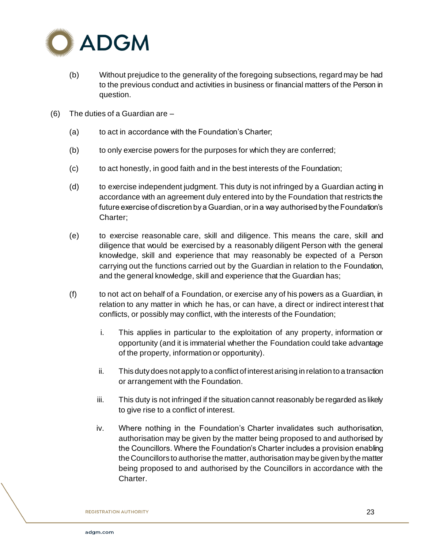

- (b) Without prejudice to the generality of the foregoing subsections, regard may be had to the previous conduct and activities in business or financial matters of the Person in question.
- (6) The duties of a Guardian are
	- (a) to act in accordance with the Foundation's Charter;
	- (b) to only exercise powers for the purposes for which they are conferred;
	- (c) to act honestly, in good faith and in the best interests of the Foundation;
	- (d) to exercise independent judgment. This duty is not infringed by a Guardian acting in accordance with an agreement duly entered into by the Foundation that restricts the future exercise of discretion by a Guardian, or in a way authorised by the Foundation's Charter;
	- (e) to exercise reasonable care, skill and diligence. This means the care, skill and diligence that would be exercised by a reasonably diligent Person with the general knowledge, skill and experience that may reasonably be expected of a Person carrying out the functions carried out by the Guardian in relation to the Foundation, and the general knowledge, skill and experience that the Guardian has;
	- (f) to not act on behalf of a Foundation, or exercise any of his powers as a Guardian, in relation to any matter in which he has, or can have, a direct or indirect interest that conflicts, or possibly may conflict, with the interests of the Foundation;
		- i. This applies in particular to the exploitation of any property, information or opportunity (and it is immaterial whether the Foundation could take advantage of the property, information or opportunity).
		- ii. This duty does not apply to a conflict of interest arising in relation to a transaction or arrangement with the Foundation.
		- iii. This duty is not infringed if the situation cannot reasonably be regarded as likely to give rise to a conflict of interest.
		- iv. Where nothing in the Foundation's Charter invalidates such authorisation, authorisation may be given by the matter being proposed to and authorised by the Councillors. Where the Foundation's Charter includes a provision enabling the Councillors to authorise the matter, authorisation may be given by the matter being proposed to and authorised by the Councillors in accordance with the Charter.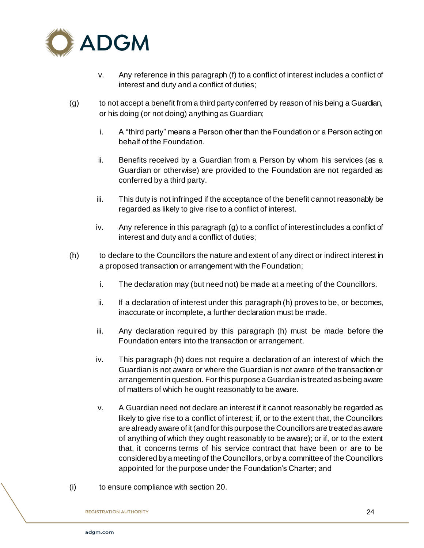

- v. Any reference in this paragraph (f) to a conflict of interest includes a conflict of interest and duty and a conflict of duties;
- (g) to not accept a benefit from a third party conferred by reason of his being a Guardian, or his doing (or not doing) anything as Guardian;
	- i. A "third party" means a Person other than the Foundation or a Person acting on behalf of the Foundation.
	- ii. Benefits received by a Guardian from a Person by whom his services (as a Guardian or otherwise) are provided to the Foundation are not regarded as conferred by a third party.
	- iii. This duty is not infringed if the acceptance of the benefit cannot reasonably be regarded as likely to give rise to a conflict of interest.
	- iv. Any reference in this paragraph (g) to a conflict of interest includes a conflict of interest and duty and a conflict of duties;
- (h) to declare to the Councillors the nature and extent of any direct or indirect interest in a proposed transaction or arrangement with the Foundation;
	- i. The declaration may (but need not) be made at a meeting of the Councillors.
	- $ii.$  If a declaration of interest under this paragraph (h) proves to be, or becomes, inaccurate or incomplete, a further declaration must be made.
	- iii. Any declaration required by this paragraph (h) must be made before the Foundation enters into the transaction or arrangement.
	- iv. This paragraph (h) does not require a declaration of an interest of which the Guardian is not aware or where the Guardian is not aware of the transaction or arrangement in question. For this purpose a Guardian is treated as being aware of matters of which he ought reasonably to be aware.
	- v. A Guardian need not declare an interest if it cannot reasonably be regarded as likely to give rise to a conflict of interest; if, or to the extent that, the Councillors are already aware of it (and for this purpose the Councillors are treated as aware of anything of which they ought reasonably to be aware); or if, or to the extent that, it concerns terms of his service contract that have been or are to be considered by a meeting of the Councillors, or by a committee of the Councillors appointed for the purpose under the Foundation's Charter; and
- (i) to ensure compliance with section 20.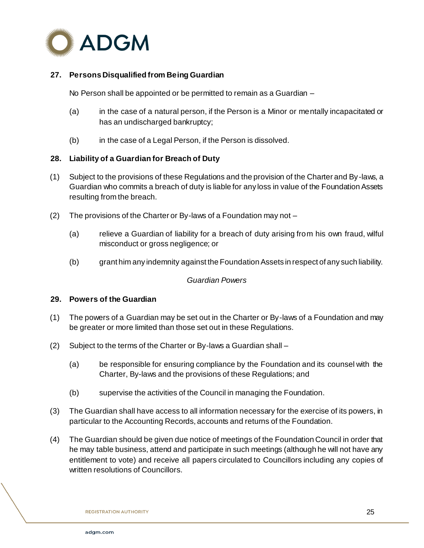

# **27. Persons Disqualified from Being Guardian**

No Person shall be appointed or be permitted to remain as a Guardian –

- (a) in the case of a natural person, if the Person is a Minor or mentally incapacitated or has an undischarged bankruptcy;
- (b) in the case of a Legal Person, if the Person is dissolved.

### **28. Liability of a Guardian for Breach of Duty**

- (1) Subject to the provisions of these Regulations and the provision of the Charter and By-laws, a Guardian who commits a breach of duty is liable for any loss in value of the Foundation Assets resulting from the breach.
- (2) The provisions of the Charter or By-laws of a Foundation may not
	- (a) relieve a Guardian of liability for a breach of duty arising from his own fraud, wilful misconduct or gross negligence; or
	- (b) grant him any indemnity against the Foundation Assets in respect of any such liability.

#### *Guardian Powers*

## **29. Powers of the Guardian**

- (1) The powers of a Guardian may be set out in the Charter or By-laws of a Foundation and may be greater or more limited than those set out in these Regulations.
- (2) Subject to the terms of the Charter or By-laws a Guardian shall
	- (a) be responsible for ensuring compliance by the Foundation and its counsel with the Charter, By-laws and the provisions of these Regulations; and
	- (b) supervise the activities of the Council in managing the Foundation.
- (3) The Guardian shall have access to all information necessary for the exercise of its powers, in particular to the Accounting Records, accounts and returns of the Foundation.
- (4) The Guardian should be given due notice of meetings of the Foundation Council in order that he may table business, attend and participate in such meetings (although he will not have any entitlement to vote) and receive all papers circulated to Councillors including any copies of written resolutions of Councillors.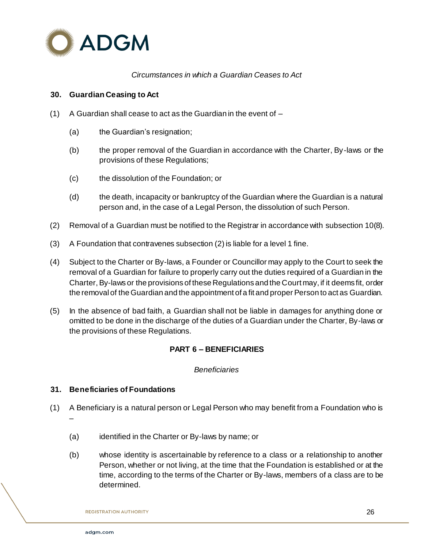

## *Circumstances in which a Guardian Ceases to Act*

#### **30. Guardian Ceasing to Act**

- (1) A Guardian shall cease to act as the Guardian in the event of  $-$ 
	- (a) the Guardian's resignation;
	- (b) the proper removal of the Guardian in accordance with the Charter, By-laws or the provisions of these Regulations;
	- (c) the dissolution of the Foundation; or
	- (d) the death, incapacity or bankruptcy of the Guardian where the Guardian is a natural person and, in the case of a Legal Person, the dissolution of such Person.
- (2) Removal of a Guardian must be notified to the Registrar in accordance with subsection 10(8).
- (3) A Foundation that contravenes subsection (2) is liable for a level 1 fine.
- (4) Subject to the Charter or By-laws, a Founder or Councillor may apply to the Court to seek the removal of a Guardian for failure to properly carry out the duties required of a Guardian in the Charter, By-laws or the provisions of these Regulations and the Court may, if it deems fit, order the removal of the Guardian and the appointment of a fit and proper Person to act as Guardian.
- (5) In the absence of bad faith, a Guardian shall not be liable in damages for anything done or omitted to be done in the discharge of the duties of a Guardian under the Charter, By-laws or the provisions of these Regulations.

### **PART 6 – BENEFICIARIES**

#### *Beneficiaries*

#### **31. Beneficiaries of Foundations**

- (1) A Beneficiary is a natural person or Legal Person who may benefit from a Foundation who is –
	- (a) identified in the Charter or By-laws by name; or
	- (b) whose identity is ascertainable by reference to a class or a relationship to another Person, whether or not living, at the time that the Foundation is established or at the time, according to the terms of the Charter or By-laws, members of a class are to be determined.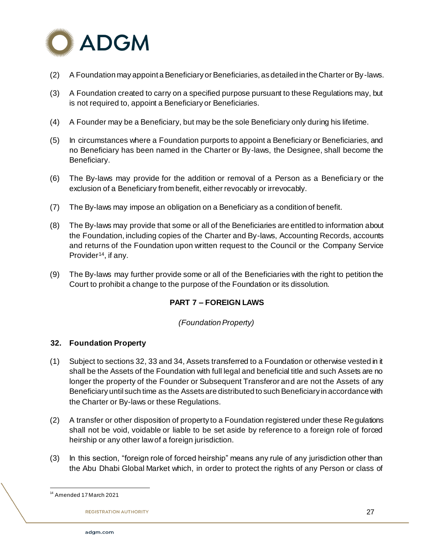

- (2) A Foundation may appoint a Beneficiary or Beneficiaries, as detailed in the Charter or By-laws.
- (3) A Foundation created to carry on a specified purpose pursuant to these Regulations may, but is not required to, appoint a Beneficiary or Beneficiaries.
- (4) A Founder may be a Beneficiary, but may be the sole Beneficiary only during his lifetime.
- (5) In circumstances where a Foundation purports to appoint a Beneficiary or Beneficiaries, and no Beneficiary has been named in the Charter or By-laws, the Designee, shall become the Beneficiary.
- (6) The By-laws may provide for the addition or removal of a Person as a Beneficiary or the exclusion of a Beneficiary from benefit, either revocably or irrevocably.
- (7) The By-laws may impose an obligation on a Beneficiary as a condition of benefit.
- (8) The By-laws may provide that some or all of the Beneficiaries are entitled to information about the Foundation, including copies of the Charter and By-laws, Accounting Records, accounts and returns of the Foundation upon written request to the Council or the Company Service Provider<sup>14</sup>, if any.
- (9) The By-laws may further provide some or all of the Beneficiaries with the right to petition the Court to prohibit a change to the purpose of the Foundation or its dissolution.

### **PART 7 – FOREIGN LAWS**

#### *(Foundation Property)*

### **32. Foundation Property**

- (1) Subject to sections 32, 33 and 34, Assets transferred to a Foundation or otherwise vested in it shall be the Assets of the Foundation with full legal and beneficial title and such Assets are no longer the property of the Founder or Subsequent Transferor and are not the Assets of any Beneficiary until such time as the Assets are distributed to such Beneficiary in accordance with the Charter or By-laws or these Regulations.
- (2) A transfer or other disposition of property to a Foundation registered under these Regulations shall not be void, voidable or liable to be set aside by reference to a foreign role of forced heirship or any other law of a foreign jurisdiction.
- (3) In this section, "foreign role of forced heirship" means any rule of any jurisdiction other than the Abu Dhabi Global Market which, in order to protect the rights of any Person or class of

j <sup>14</sup> Amended 17 March 2021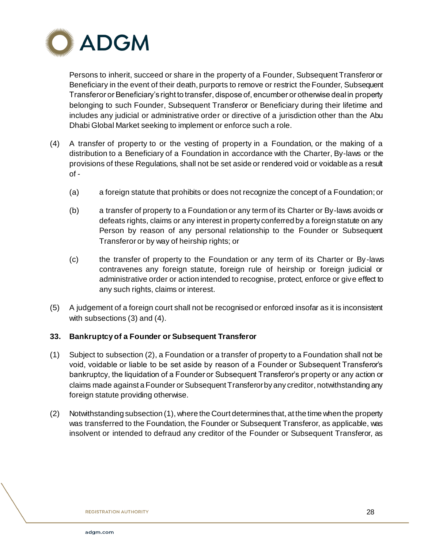

Persons to inherit, succeed or share in the property of a Founder, Subsequent Transferor or Beneficiary in the event of their death, purports to remove or restrict the Founder, Subsequent Transferor or Beneficiary's right to transfer, dispose of, encumber or otherwise deal in property belonging to such Founder, Subsequent Transferor or Beneficiary during their lifetime and includes any judicial or administrative order or directive of a jurisdiction other than the Abu Dhabi Global Market seeking to implement or enforce such a role.

- (4) A transfer of property to or the vesting of property in a Foundation, or the making of a distribution to a Beneficiary of a Foundation in accordance with the Charter, By-laws or the provisions of these Regulations, shall not be set aside or rendered void or voidable as a result of -
	- (a) a foreign statute that prohibits or does not recognize the concept of a Foundation; or
	- (b) a transfer of property to a Foundation or any term of its Charter or By-laws avoids or defeats rights, claims or any interest in property conferred by a foreign statute on any Person by reason of any personal relationship to the Founder or Subsequent Transferor or by way of heirship rights; or
	- (c) the transfer of property to the Foundation or any term of its Charter or By-laws contravenes any foreign statute, foreign rule of heirship or foreign judicial or administrative order or action intended to recognise, protect, enforce or give effect to any such rights, claims or interest.
- (5) A judgement of a foreign court shall not be recognised or enforced insofar as it is inconsistent with subsections (3) and (4).

### **33. Bankruptcy of a Founder or Subsequent Transferor**

- (1) Subject to subsection (2), a Foundation or a transfer of property to a Foundation shall not be void, voidable or liable to be set aside by reason of a Founder or Subsequent Transferor's bankruptcy, the liquidation of a Founder or Subsequent Transferor's property or any action or claims made against a Founder or Subsequent Transferor by any creditor, notwithstanding any foreign statute providing otherwise.
- (2) Notwithstanding subsection (1), where the Court determines that, at the time when the property was transferred to the Foundation, the Founder or Subsequent Transferor, as applicable, was insolvent or intended to defraud any creditor of the Founder or Subsequent Transferor, as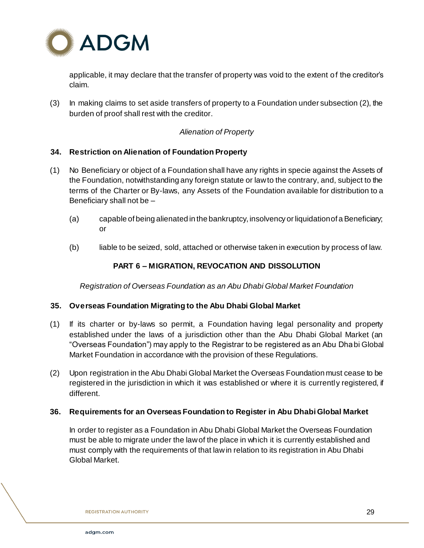

applicable, it may declare that the transfer of property was void to the extent of the creditor's claim.

(3) In making claims to set aside transfers of property to a Foundation under subsection (2), the burden of proof shall rest with the creditor.

# *Alienation of Property*

### **34. Restriction on Alienation of Foundation Property**

- (1) No Beneficiary or object of a Foundation shall have any rights in specie against the Assets of the Foundation, notwithstanding any foreign statute or law to the contrary, and, subject to the terms of the Charter or By-laws, any Assets of the Foundation available for distribution to a Beneficiary shall not be –
	- (a) capable of being alienated in the bankruptcy, insolvency or liquidation of a Beneficiary; or
	- (b) liable to be seized, sold, attached or otherwise taken in execution by process of law.

### **PART 6 – MIGRATION, REVOCATION AND DISSOLUTION**

*Registration of Overseas Foundation as an Abu Dhabi Global Market Foundation* 

#### **35. Overseas Foundation Migrating to the Abu Dhabi Global Market**

- (1) If its charter or by-laws so permit, a Foundation having legal personality and property established under the laws of a jurisdiction other than the Abu Dhabi Global Market (an "Overseas Foundation") may apply to the Registrar to be registered as an Abu Dhabi Global Market Foundation in accordance with the provision of these Regulations.
- (2) Upon registration in the Abu Dhabi Global Market the Overseas Foundation must cease to be registered in the jurisdiction in which it was established or where it is currently registered, if different.

#### **36. Requirements for an Overseas Foundation to Register in Abu Dhabi Global Market**

In order to register as a Foundation in Abu Dhabi Global Market the Overseas Foundation must be able to migrate under the law of the place in which it is currently established and must comply with the requirements of that law in relation to its registration in Abu Dhabi Global Market.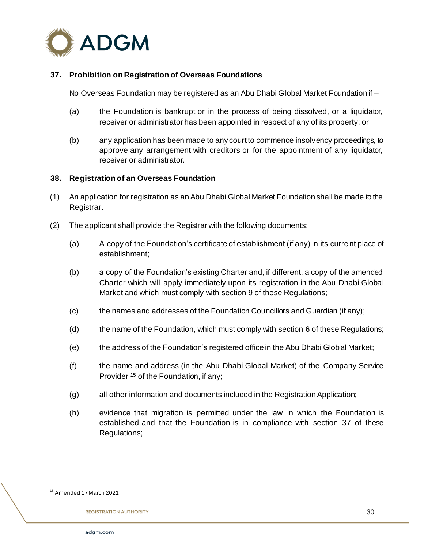

## **37. Prohibition on Registration of Overseas Foundations**

No Overseas Foundation may be registered as an Abu Dhabi Global Market Foundation if –

- (a) the Foundation is bankrupt or in the process of being dissolved, or a liquidator, receiver or administrator has been appointed in respect of any of its property; or
- (b) any application has been made to any court to commence insolvency proceedings, to approve any arrangement with creditors or for the appointment of any liquidator, receiver or administrator.

#### **38. Registration of an Overseas Foundation**

- (1) An application for registration as an Abu Dhabi Global Market Foundation shall be made to the Registrar.
- (2) The applicant shall provide the Registrar with the following documents:
	- (a) A copy of the Foundation's certificate of establishment (if any) in its current place of establishment;
	- (b) a copy of the Foundation's existing Charter and, if different, a copy of the amended Charter which will apply immediately upon its registration in the Abu Dhabi Global Market and which must comply with section 9 of these Regulations;
	- (c) the names and addresses of the Foundation Councillors and Guardian (if any);
	- (d) the name of the Foundation, which must comply with section 6 of these Regulations;
	- (e) the address of the Foundation's registered office in the Abu Dhabi Global Market;
	- (f) the name and address (in the Abu Dhabi Global Market) of the Company Service Provider <sup>15</sup> of the Foundation, if any;
	- (g) all other information and documents included in the Registration Application;
	- (h) evidence that migration is permitted under the law in which the Foundation is established and that the Foundation is in compliance with section 37 of these Regulations;

<sup>15</sup> Amended 17 March 2021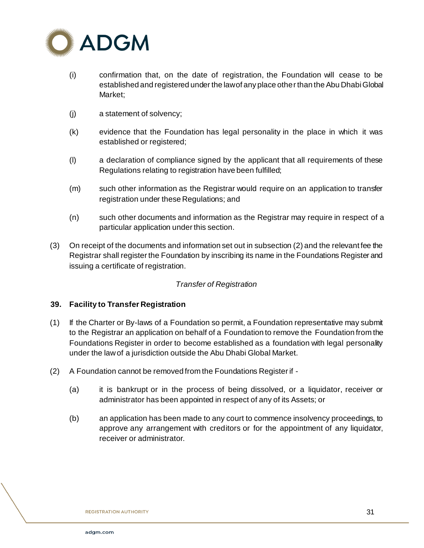

- (i) confirmation that, on the date of registration, the Foundation will cease to be established and registered under the law of any place other than the Abu Dhabi Global Market;
- (j) a statement of solvency;
- (k) evidence that the Foundation has legal personality in the place in which it was established or registered;
- (l) a declaration of compliance signed by the applicant that all requirements of these Regulations relating to registration have been fulfilled;
- (m) such other information as the Registrar would require on an application to transfer registration under these Regulations; and
- (n) such other documents and information as the Registrar may require in respect of a particular application under this section.
- (3) On receipt of the documents and information set out in subsection (2) and the relevant fee the Registrar shall register the Foundation by inscribing its name in the Foundations Register and issuing a certificate of registration.

# *Transfer of Registration*

### **39. Facility to Transfer Registration**

- (1) If the Charter or By-laws of a Foundation so permit, a Foundation representative may submit to the Registrar an application on behalf of a Foundation to remove the Foundation from the Foundations Register in order to become established as a foundation with legal personality under the law of a jurisdiction outside the Abu Dhabi Global Market.
- (2) A Foundation cannot be removed from the Foundations Register if
	- (a) it is bankrupt or in the process of being dissolved, or a liquidator, receiver or administrator has been appointed in respect of any of its Assets; or
	- (b) an application has been made to any court to commence insolvency proceedings, to approve any arrangement with creditors or for the appointment of any liquidator, receiver or administrator.

31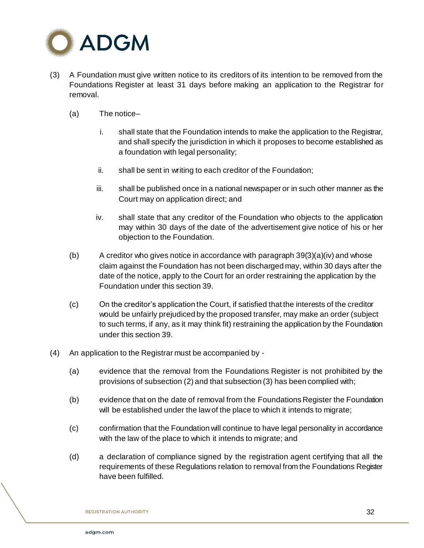

- (3) A Foundation must give written notice to its creditors of its intention to be removed from the Foundations Register at least 31 days before making an application to the Registrar for removal.
	- (a) The notice–
		- i. shall state that the Foundation intends to make the application to the Registrar, and shall specify the jurisdiction in which it proposes to become established as a foundation with legal personality;
		- ii. shall be sent in writing to each creditor of the Foundation;
		- iii. shall be published once in a national newspaper or in such other manner as the Court may on application direct; and
		- iv. shall state that any creditor of the Foundation who objects to the application may within 30 days of the date of the advertisement give notice of his or her objection to the Foundation.
	- (b) A creditor who gives notice in accordance with paragraph  $39(3)(a)(iv)$  and whose claim against the Foundation has not been discharged may, within 30 days after the date of the notice, apply to the Court for an order restraining the application by the Foundation under this section 39.
	- (c) On the creditor's application the Court, if satisfied that the interests of the creditor would be unfairly prejudiced by the proposed transfer, may make an order (subject to such terms, if any, as it may think fit) restraining the application by the Foundation under this section 39.
- (4) An application to the Registrar must be accompanied by
	- (a) evidence that the removal from the Foundations Register is not prohibited by the provisions of subsection (2) and that subsection (3) has been complied with;
	- (b) evidence that on the date of removal from the Foundations Register the Foundation will be established under the law of the place to which it intends to migrate;
	- (c) confirmation that the Foundation will continue to have legal personality in accordance with the law of the place to which it intends to migrate; and
	- (d) a declaration of compliance signed by the registration agent certifying that all the requirements of these Regulations relation to removal from the Foundations Register have been fulfilled.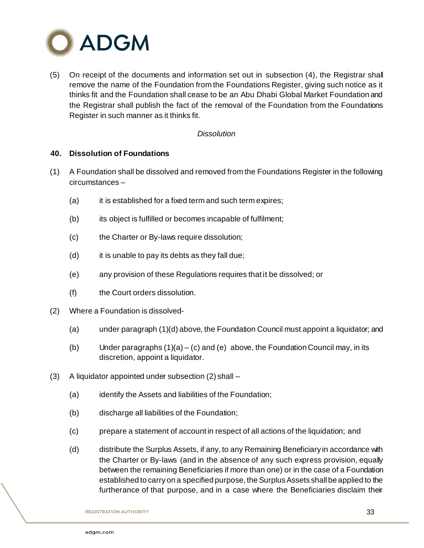

(5) On receipt of the documents and information set out in subsection (4), the Registrar shall remove the name of the Foundation from the Foundations Register, giving such notice as it thinks fit and the Foundation shall cease to be an Abu Dhabi Global Market Foundation and the Registrar shall publish the fact of the removal of the Foundation from the Foundations Register in such manner as it thinks fit.

#### *Dissolution*

#### **40. Dissolution of Foundations**

- (1) A Foundation shall be dissolved and removed from the Foundations Register in the following circumstances –
	- (a) it is established for a fixed term and such term expires;
	- (b) its object is fulfilled or becomes incapable of fulfilment;
	- (c) the Charter or By-laws require dissolution;
	- $(d)$  it is unable to pay its debts as they fall due;
	- (e) any provision of these Regulations requires that it be dissolved; or
	- (f) the Court orders dissolution.
- (2) Where a Foundation is dissolved-
	- (a) under paragraph (1)(d) above, the Foundation Council must appoint a liquidator; and
	- (b) Under paragraphs  $(1)(a) (c)$  and  $(e)$  above, the Foundation Council may, in its discretion, appoint a liquidator.
- (3) A liquidator appointed under subsection (2) shall
	- (a) identify the Assets and liabilities of the Foundation;
	- (b) discharge all liabilities of the Foundation;
	- (c) prepare a statement of account in respect of all actions of the liquidation; and
	- (d) distribute the Surplus Assets, if any, to any Remaining Beneficiary in accordance with the Charter or By-laws (and in the absence of any such express provision, equally between the remaining Beneficiaries if more than one) or in the case of a Foundation established to carry on a specified purpose, the Surplus Assets shall be applied to the furtherance of that purpose, and in a case where the Beneficiaries disclaim their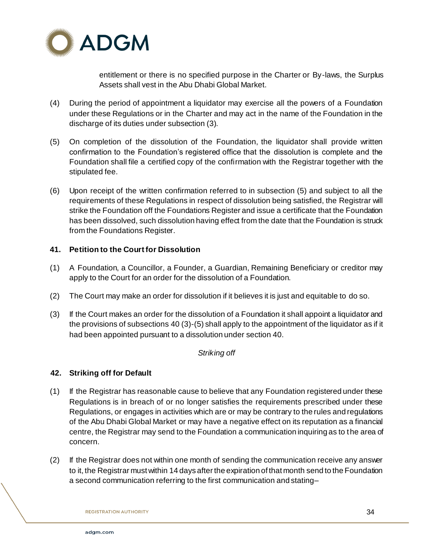

entitlement or there is no specified purpose in the Charter or By-laws, the Surplus Assets shall vest in the Abu Dhabi Global Market.

- (4) During the period of appointment a liquidator may exercise all the powers of a Foundation under these Regulations or in the Charter and may act in the name of the Foundation in the discharge of its duties under subsection (3).
- (5) On completion of the dissolution of the Foundation, the liquidator shall provide written confirmation to the Foundation's registered office that the dissolution is complete and the Foundation shall file a certified copy of the confirmation with the Registrar together with the stipulated fee.
- (6) Upon receipt of the written confirmation referred to in subsection (5) and subject to all the requirements of these Regulations in respect of dissolution being satisfied, the Registrar will strike the Foundation off the Foundations Register and issue a certificate that the Foundation has been dissolved, such dissolution having effect from the date that the Foundation is struck from the Foundations Register.

# **41. Petition to the Court for Dissolution**

- (1) A Foundation, a Councillor, a Founder, a Guardian, Remaining Beneficiary or creditor may apply to the Court for an order for the dissolution of a Foundation.
- (2) The Court may make an order for dissolution if it believes it is just and equitable to do so.
- (3) If the Court makes an order for the dissolution of a Foundation it shall appoint a liquidator and the provisions of subsections 40 (3)-(5) shall apply to the appointment of the liquidator as if it had been appointed pursuant to a dissolution under section 40.

### *Striking off*

# **42. Striking off for Default**

- (1) If the Registrar has reasonable cause to believe that any Foundation registered under these Regulations is in breach of or no longer satisfies the requirements prescribed under these Regulations, or engages in activities which are or may be contrary to the rules and regulations of the Abu Dhabi Global Market or may have a negative effect on its reputation as a financial centre, the Registrar may send to the Foundation a communication inquiring as to the area of concern.
- (2) If the Registrar does not within one month of sending the communication receive any answer to it, the Registrar must within 14 days after the expiration of that month send to the Foundation a second communication referring to the first communication and stating–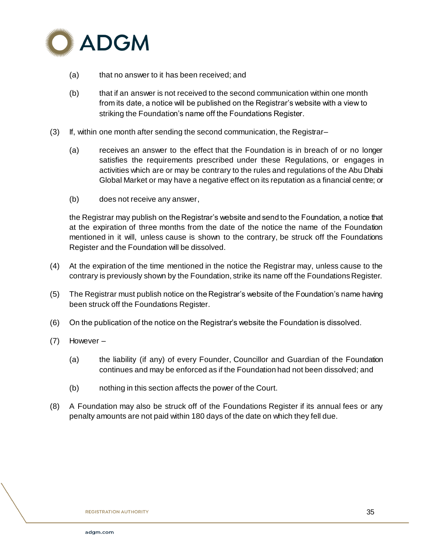

- (a) that no answer to it has been received; and
- (b) that if an answer is not received to the second communication within one month from its date, a notice will be published on the Registrar's website with a view to striking the Foundation's name off the Foundations Register.
- (3) If, within one month after sending the second communication, the Registrar–
	- (a) receives an answer to the effect that the Foundation is in breach of or no longer satisfies the requirements prescribed under these Regulations, or engages in activities which are or may be contrary to the rules and regulations of the Abu Dhabi Global Market or may have a negative effect on its reputation as a financial centre; or
	- (b) does not receive any answer,

the Registrar may publish on the Registrar's website and send to the Foundation, a notice that at the expiration of three months from the date of the notice the name of the Foundation mentioned in it will, unless cause is shown to the contrary, be struck off the Foundations Register and the Foundation will be dissolved.

- (4) At the expiration of the time mentioned in the notice the Registrar may, unless cause to the contrary is previously shown by the Foundation, strike its name off the Foundations Register.
- (5) The Registrar must publish notice on the Registrar's website of the Foundation's name having been struck off the Foundations Register.
- (6) On the publication of the notice on the Registrar's website the Foundation is dissolved.
- (7) However
	- (a) the liability (if any) of every Founder, Councillor and Guardian of the Foundation continues and may be enforced as if the Foundation had not been dissolved; and
	- (b) nothing in this section affects the power of the Court.
- (8) A Foundation may also be struck off of the Foundations Register if its annual fees or any penalty amounts are not paid within 180 days of the date on which they fell due.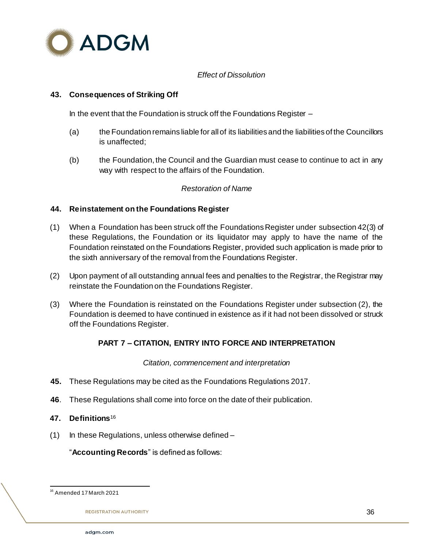

# *Effect of Dissolution*

## **43. Consequences of Striking Off**

In the event that the Foundation is struck off the Foundations Register –

- (a) the Foundation remains liable for all of its liabilities and the liabilities of the Councillors is unaffected;
- (b) the Foundation, the Council and the Guardian must cease to continue to act in any way with respect to the affairs of the Foundation.

# *Restoration of Name*

### **44. Reinstatement on the Foundations Register**

- (1) When a Foundation has been struck off the Foundations Register under subsection 42(3) of these Regulations, the Foundation or its liquidator may apply to have the name of the Foundation reinstated on the Foundations Register, provided such application is made prior to the sixth anniversary of the removal from the Foundations Register.
- (2) Upon payment of all outstanding annual fees and penalties to the Registrar, the Registrar may reinstate the Foundation on the Foundations Register.
- (3) Where the Foundation is reinstated on the Foundations Register under subsection (2), the Foundation is deemed to have continued in existence as if it had not been dissolved or struck off the Foundations Register.

### **PART 7 – CITATION, ENTRY INTO FORCE AND INTERPRETATION**

*Citation, commencement and interpretation*

- **45.** These Regulations may be cited as the Foundations Regulations 2017.
- **46**. These Regulations shall come into force on the date of their publication.
- **47. Definitions**<sup>16</sup>
- (1) In these Regulations, unless otherwise defined –

"**Accounting Records**" is defined as follows:

l <sup>16</sup> Amended 17 March 2021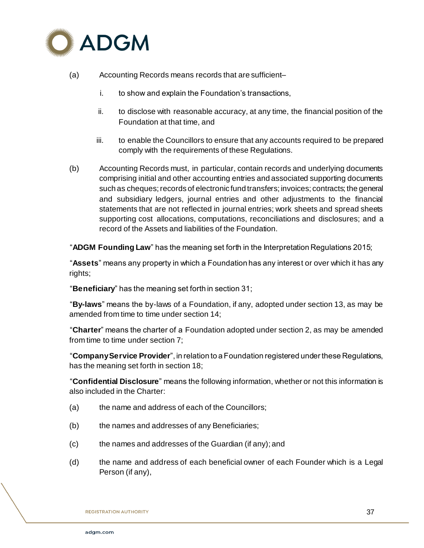

- (a) Accounting Records means records that are sufficient–
	- i. to show and explain the Foundation's transactions,
	- ii. to disclose with reasonable accuracy, at any time, the financial position of the Foundation at that time, and
	- iii. to enable the Councillors to ensure that any accounts required to be prepared comply with the requirements of these Regulations.
- (b) Accounting Records must, in particular, contain records and underlying documents comprising initial and other accounting entries and associated supporting documents such as cheques; records of electronic fund transfers; invoices; contracts; the general and subsidiary ledgers, journal entries and other adjustments to the financial statements that are not reflected in journal entries; work sheets and spread sheets supporting cost allocations, computations, reconciliations and disclosures; and a record of the Assets and liabilities of the Foundation.

"**ADGM Founding Law**" has the meaning set forth in the Interpretation Regulations 2015;

"**Assets**" means any property in which a Foundation has any interest or over which it has any rights;

"**Beneficiary**" has the meaning set forth in section 31;

"**By-laws**" means the by-laws of a Foundation, if any, adopted under section 13, as may be amended from time to time under section 14;

"**Charter**" means the charter of a Foundation adopted under section 2, as may be amended from time to time under section 7;

"**Company Service Provider**", in relation to a Foundation registered under these Regulations, has the meaning set forth in section 18;

"**Confidential Disclosure**" means the following information, whether or not this information is also included in the Charter:

- (a) the name and address of each of the Councillors;
- (b) the names and addresses of any Beneficiaries;
- (c) the names and addresses of the Guardian (if any); and
- (d) the name and address of each beneficial owner of each Founder which is a Legal Person (if any),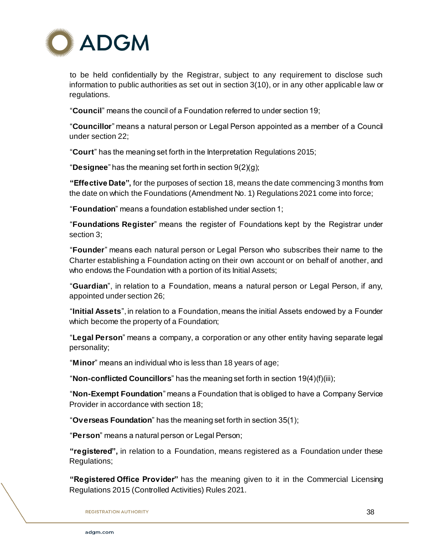

to be held confidentially by the Registrar, subject to any requirement to disclose such information to public authorities as set out in section 3(10), or in any other applicable law or regulations.

"**Council**" means the council of a Foundation referred to under section 19;

"**Councillor**" means a natural person or Legal Person appointed as a member of a Council under section 22;

"**Court**" has the meaning set forth in the Interpretation Regulations 2015;

"**Designee**" has the meaning set forth in section 9(2)(g);

**"Effective Date",** for the purposes of section 18, means the date commencing 3 months from the date on which the Foundations (Amendment No. 1) Regulations 2021 come into force;

"**Foundation**" means a foundation established under section 1;

"**Foundations Register**" means the register of Foundations kept by the Registrar under section 3;

"**Founder**" means each natural person or Legal Person who subscribes their name to the Charter establishing a Foundation acting on their own account or on behalf of another, and who endows the Foundation with a portion of its Initial Assets;

"**Guardian**", in relation to a Foundation, means a natural person or Legal Person, if any, appointed under section 26;

"**Initial Assets**", in relation to a Foundation, means the initial Assets endowed by a Founder which become the property of a Foundation;

"**Legal Person**" means a company, a corporation or any other entity having separate legal personality;

"**Minor**" means an individual who is less than 18 years of age;

"**Non-conflicted Councillors**" has the meaning set forth in section 19(4)(f)(iii);

"**Non-Exempt Foundation**" means a Foundation that is obliged to have a Company Service Provider in accordance with section 18;

"**Overseas Foundation**" has the meaning set forth in section 35(1);

"**Person**" means a natural person or Legal Person;

**"registered",** in relation to a Foundation, means registered as a Foundation under these Regulations;

**"Registered Office Provider"** has the meaning given to it in the Commercial Licensing Regulations 2015 (Controlled Activities) Rules 2021.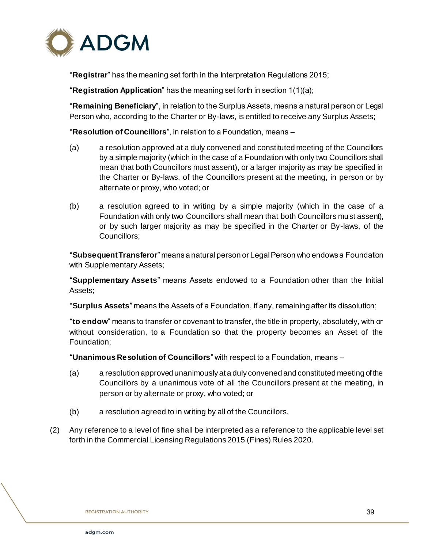

"**Registrar**" has the meaning set forth in the Interpretation Regulations 2015;

"**Registration Application**" has the meaning set forth in section 1(1)(a);

"**Remaining Beneficiary**", in relation to the Surplus Assets, means a natural person or Legal Person who, according to the Charter or By-laws, is entitled to receive any Surplus Assets;

"**Resolution of Councillors**", in relation to a Foundation, means –

- (a) a resolution approved at a duly convened and constituted meeting of the Councillors by a simple majority (which in the case of a Foundation with only two Councillors shall mean that both Councillors must assent), or a larger majority as may be specified in the Charter or By-laws, of the Councillors present at the meeting, in person or by alternate or proxy, who voted; or
- (b) a resolution agreed to in writing by a simple majority (which in the case of a Foundation with only two Councillors shall mean that both Councillors must assent), or by such larger majority as may be specified in the Charter or By-laws, of the Councillors;

"**Subsequent Transferor**" means a natural person or Legal Person who endows a Foundation with Supplementary Assets;

"**Supplementary Assets**" means Assets endowed to a Foundation other than the Initial Assets;

"**Surplus Assets**" means the Assets of a Foundation, if any, remaining after its dissolution;

"**to endow**" means to transfer or covenant to transfer, the title in property, absolutely, with or without consideration, to a Foundation so that the property becomes an Asset of the Foundation;

"**Unanimous Resolution of Councillors**" with respect to a Foundation, means –

- (a) a resolution approved unanimously at a duly convened and constituted meeting of the Councillors by a unanimous vote of all the Councillors present at the meeting, in person or by alternate or proxy, who voted; or
- (b) a resolution agreed to in writing by all of the Councillors.
- (2) Any reference to a level of fine shall be interpreted as a reference to the applicable level set forth in the Commercial Licensing Regulations 2015 (Fines) Rules 2020.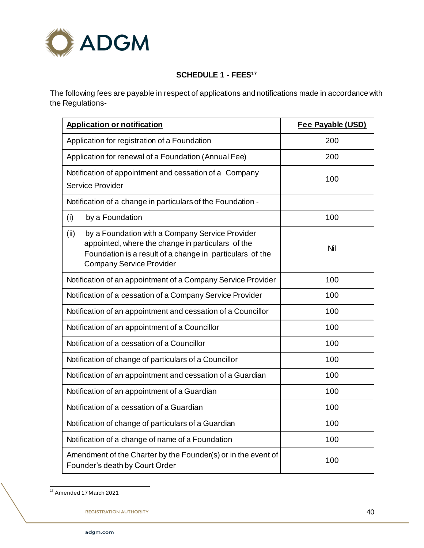

# **SCHEDULE 1 - FEES<sup>17</sup>**

The following fees are payable in respect of applications and notifications made in accordance with the Regulations-

| <b>Application or notification</b>                                                                                                                                                                          | Fee Payable (USD) |
|-------------------------------------------------------------------------------------------------------------------------------------------------------------------------------------------------------------|-------------------|
| Application for registration of a Foundation                                                                                                                                                                | 200               |
| Application for renewal of a Foundation (Annual Fee)                                                                                                                                                        | 200               |
| Notification of appointment and cessation of a Company<br><b>Service Provider</b>                                                                                                                           | 100               |
| Notification of a change in particulars of the Foundation -                                                                                                                                                 |                   |
| (i)<br>by a Foundation                                                                                                                                                                                      | 100               |
| by a Foundation with a Company Service Provider<br>(ii)<br>appointed, where the change in particulars of the<br>Foundation is a result of a change in particulars of the<br><b>Company Service Provider</b> | Nil               |
| Notification of an appointment of a Company Service Provider                                                                                                                                                | 100               |
| Notification of a cessation of a Company Service Provider                                                                                                                                                   | 100               |
| Notification of an appointment and cessation of a Councillor                                                                                                                                                | 100               |
| Notification of an appointment of a Councillor                                                                                                                                                              | 100               |
| Notification of a cessation of a Councillor                                                                                                                                                                 | 100               |
| Notification of change of particulars of a Councillor                                                                                                                                                       | 100               |
| Notification of an appointment and cessation of a Guardian                                                                                                                                                  | 100               |
| Notification of an appointment of a Guardian                                                                                                                                                                | 100               |
| Notification of a cessation of a Guardian                                                                                                                                                                   | 100               |
| Notification of change of particulars of a Guardian                                                                                                                                                         | 100               |
| Notification of a change of name of a Foundation                                                                                                                                                            | 100               |
| Amendment of the Charter by the Founder(s) or in the event of<br>Founder's death by Court Order                                                                                                             | 100               |

l <sup>17</sup> Amended 17 March 2021